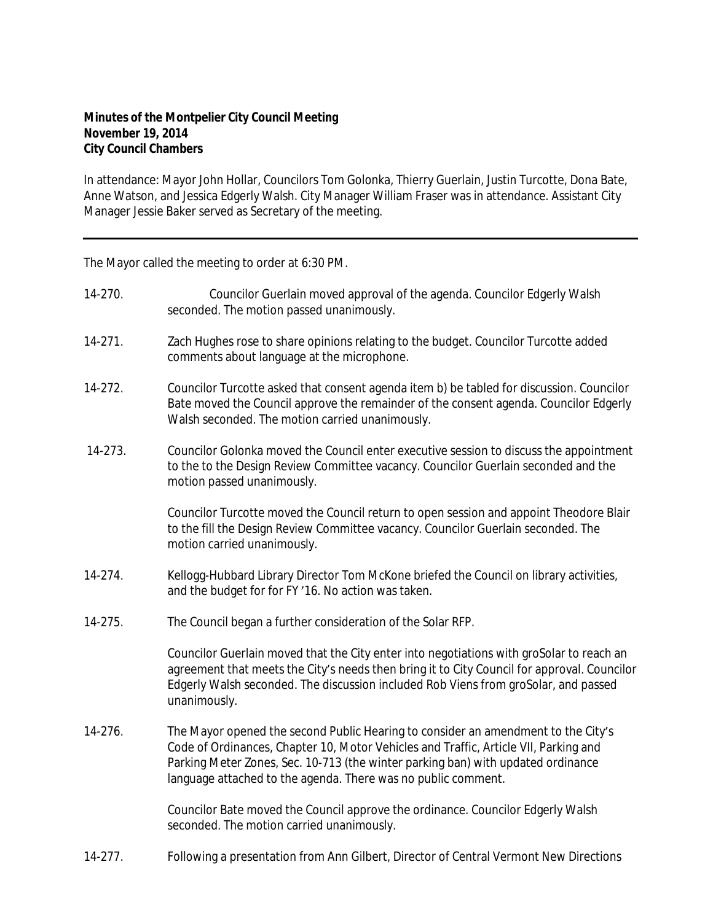## **Minutes of the Montpelier City Council Meeting November 19, 2014 City Council Chambers**

In attendance: Mayor John Hollar, Councilors Tom Golonka, Thierry Guerlain, Justin Turcotte, Dona Bate, Anne Watson, and Jessica Edgerly Walsh. City Manager William Fraser was in attendance. Assistant City Manager Jessie Baker served as Secretary of the meeting.

The Mayor called the meeting to order at 6:30 PM.

| 14-270.     | Councilor Guerlain moved approval of the agenda. Councilor Edgerly Walsh<br>seconded. The motion passed unanimously.                                                                                                                                                                                                           |
|-------------|--------------------------------------------------------------------------------------------------------------------------------------------------------------------------------------------------------------------------------------------------------------------------------------------------------------------------------|
| $14 - 271.$ | Zach Hughes rose to share opinions relating to the budget. Councilor Turcotte added<br>comments about language at the microphone.                                                                                                                                                                                              |
| 14-272.     | Councilor Turcotte asked that consent agenda item b) be tabled for discussion. Councilor<br>Bate moved the Council approve the remainder of the consent agenda. Councilor Edgerly<br>Walsh seconded. The motion carried unanimously.                                                                                           |
| 14-273.     | Councilor Golonka moved the Council enter executive session to discuss the appointment<br>to the to the Design Review Committee vacancy. Councilor Guerlain seconded and the<br>motion passed unanimously.                                                                                                                     |
|             | Councilor Turcotte moved the Council return to open session and appoint Theodore Blair<br>to the fill the Design Review Committee vacancy. Councilor Guerlain seconded. The<br>motion carried unanimously.                                                                                                                     |
| 14-274.     | Kellogg-Hubbard Library Director Tom McKone briefed the Council on library activities,<br>and the budget for for FY'16. No action was taken.                                                                                                                                                                                   |
| 14-275.     | The Council began a further consideration of the Solar RFP.                                                                                                                                                                                                                                                                    |
|             | Councilor Guerlain moved that the City enter into negotiations with groSolar to reach an<br>agreement that meets the City's needs then bring it to City Council for approval. Councilor<br>Edgerly Walsh seconded. The discussion included Rob Viens from groSolar, and passed<br>unanimously.                                 |
| 14-276.     | The Mayor opened the second Public Hearing to consider an amendment to the City's<br>Code of Ordinances, Chapter 10, Motor Vehicles and Traffic, Article VII, Parking and<br>Parking Meter Zones, Sec. 10-713 (the winter parking ban) with updated ordinance<br>language attached to the agenda. There was no public comment. |
|             | Councilor Bate moved the Council approve the ordinance. Councilor Edgerly Walsh<br>seconded. The motion carried unanimously.                                                                                                                                                                                                   |

14-277. Following a presentation from Ann Gilbert, Director of Central Vermont New Directions